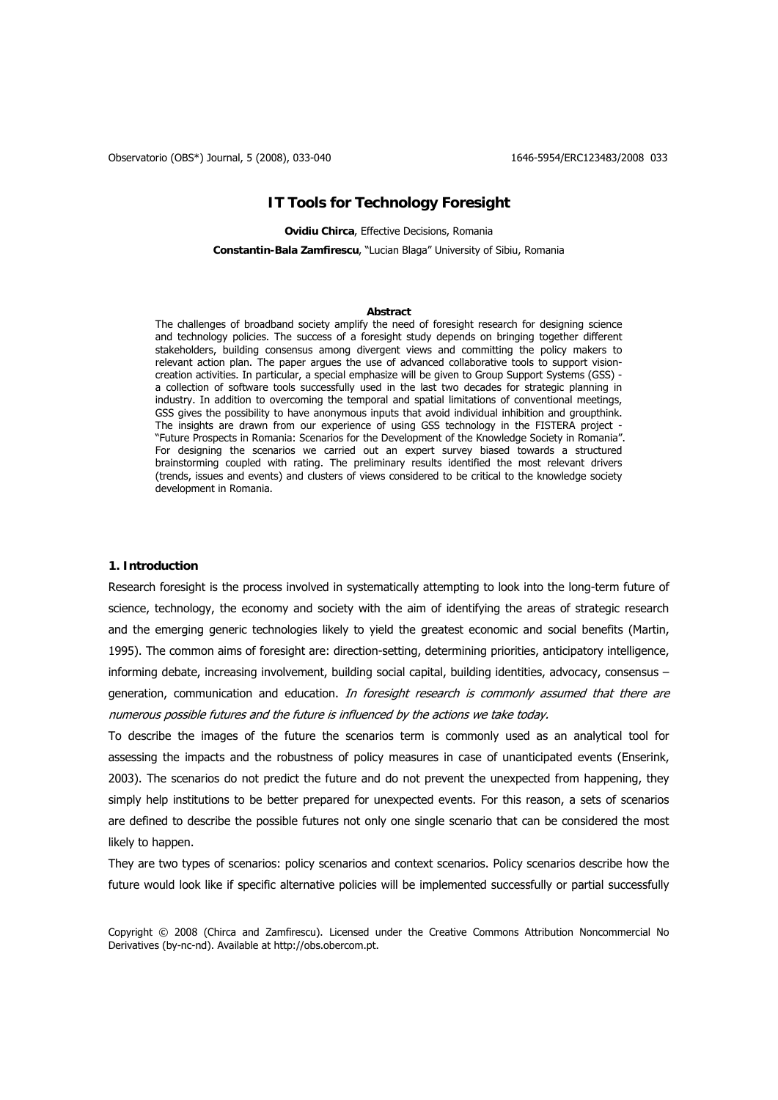## **IT Tools for Technology Foresight**

**Ovidiu Chirca**, Effective Decisions, Romania

**Constantin-Bala Zamfirescu**, "Lucian Blaga" University of Sibiu, Romania

#### **Abstract**

The challenges of broadband society amplify the need of foresight research for designing science and technology policies. The success of a foresight study depends on bringing together different stakeholders, building consensus among divergent views and committing the policy makers to relevant action plan. The paper argues the use of advanced collaborative tools to support visioncreation activities. In particular, a special emphasize will be given to Group Support Systems (GSS) a collection of software tools successfully used in the last two decades for strategic planning in industry. In addition to overcoming the temporal and spatial limitations of conventional meetings, GSS gives the possibility to have anonymous inputs that avoid individual inhibition and groupthink. The insights are drawn from our experience of using GSS technology in the FISTERA project - "Future Prospects in Romania: Scenarios for the Development of the Knowledge Society in Romania". For designing the scenarios we carried out an expert survey biased towards a structured brainstorming coupled with rating. The preliminary results identified the most relevant drivers (trends, issues and events) and clusters of views considered to be critical to the knowledge society development in Romania.

## **1. Introduction**

Research foresight is the process involved in systematically attempting to look into the long-term future of science, technology, the economy and society with the aim of identifying the areas of strategic research and the emerging generic technologies likely to yield the greatest economic and social benefits (Martin, 1995). The common aims of foresight are: direction-setting, determining priorities, anticipatory intelligence, informing debate, increasing involvement, building social capital, building identities, advocacy, consensus – generation, communication and education. In foresight research is commonly assumed that there are numerous possible futures and the future is influenced by the actions we take today.

To describe the images of the future the scenarios term is commonly used as an analytical tool for assessing the impacts and the robustness of policy measures in case of unanticipated events (Enserink, 2003). The scenarios do not predict the future and do not prevent the unexpected from happening, they simply help institutions to be better prepared for unexpected events. For this reason, a sets of scenarios are defined to describe the possible futures not only one single scenario that can be considered the most likely to happen.

They are two types of scenarios: policy scenarios and context scenarios. Policy scenarios describe how the future would look like if specific alternative policies will be implemented successfully or partial successfully

Copyright © 2008 (Chirca and Zamfirescu). Licensed under the Creative Commons Attribution Noncommercial No Derivatives (by-nc-nd). Available at http://obs.obercom.pt.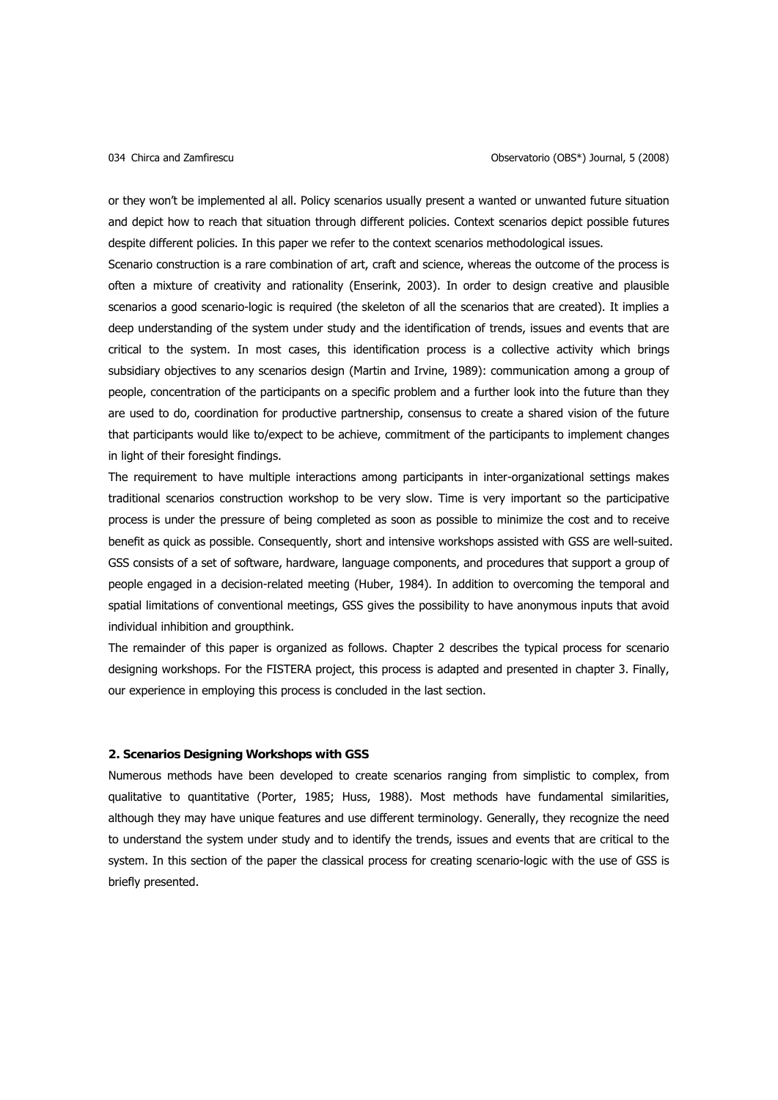or they won't be implemented al all. Policy scenarios usually present a wanted or unwanted future situation and depict how to reach that situation through different policies. Context scenarios depict possible futures despite different policies. In this paper we refer to the context scenarios methodological issues.

Scenario construction is a rare combination of art, craft and science, whereas the outcome of the process is often a mixture of creativity and rationality (Enserink, 2003). In order to design creative and plausible scenarios a good scenario-logic is required (the skeleton of all the scenarios that are created). It implies a deep understanding of the system under study and the identification of trends, issues and events that are critical to the system. In most cases, this identification process is a collective activity which brings subsidiary objectives to any scenarios design (Martin and Irvine, 1989): communication among a group of people, concentration of the participants on a specific problem and a further look into the future than they are used to do, coordination for productive partnership, consensus to create a shared vision of the future that participants would like to/expect to be achieve, commitment of the participants to implement changes in light of their foresight findings.

The requirement to have multiple interactions among participants in inter-organizational settings makes traditional scenarios construction workshop to be very slow. Time is very important so the participative process is under the pressure of being completed as soon as possible to minimize the cost and to receive benefit as quick as possible. Consequently, short and intensive workshops assisted with GSS are well-suited. GSS consists of a set of software, hardware, language components, and procedures that support a group of people engaged in a decision-related meeting (Huber, 1984). In addition to overcoming the temporal and spatial limitations of conventional meetings, GSS gives the possibility to have anonymous inputs that avoid individual inhibition and groupthink.

The remainder of this paper is organized as follows. Chapter 2 describes the typical process for scenario designing workshops. For the FISTERA project, this process is adapted and presented in chapter 3. Finally, our experience in employing this process is concluded in the last section.

### **2. Scenarios Designing Workshops with GSS**

Numerous methods have been developed to create scenarios ranging from simplistic to complex, from qualitative to quantitative (Porter, 1985; Huss, 1988). Most methods have fundamental similarities, although they may have unique features and use different terminology. Generally, they recognize the need to understand the system under study and to identify the trends, issues and events that are critical to the system. In this section of the paper the classical process for creating scenario-logic with the use of GSS is briefly presented.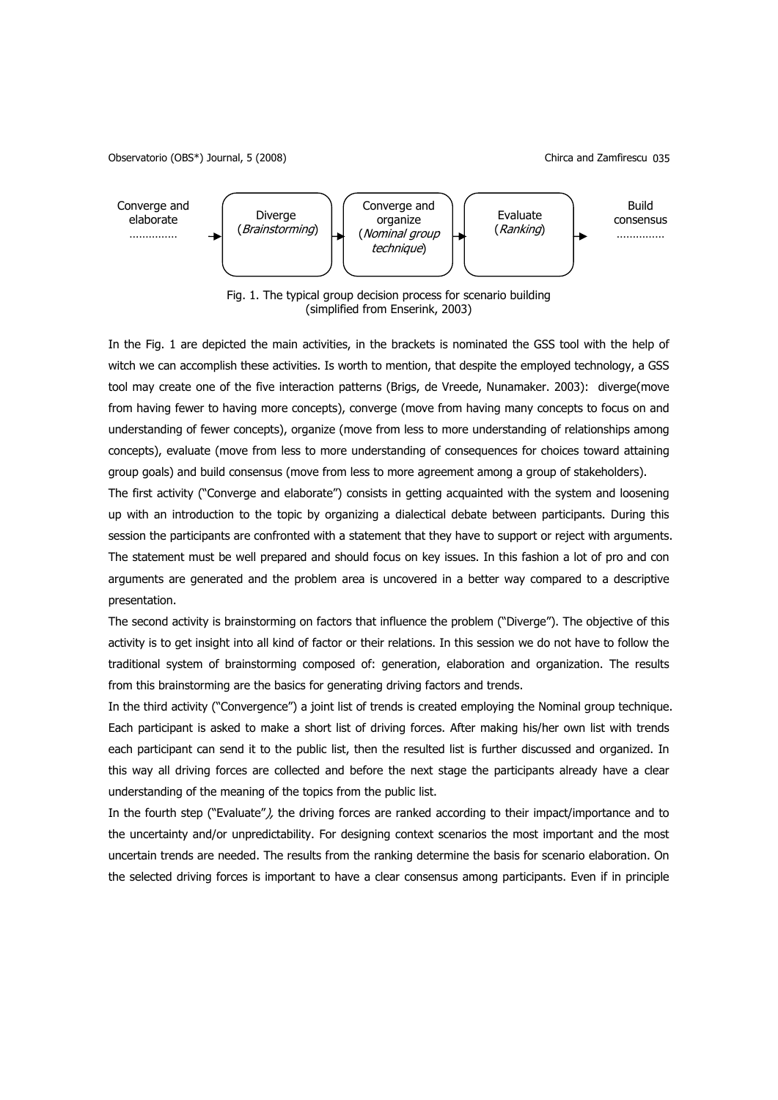Observatorio (OBS\*) Journal, 5 (2008) Chirca and Zamfirescu 035



Fig. 1. The typical group decision process for scenario building (simplified from Enserink, 2003)

In the Fig. 1 are depicted the main activities, in the brackets is nominated the GSS tool with the help of witch we can accomplish these activities. Is worth to mention, that despite the employed technology, a GSS tool may create one of the five interaction patterns (Brigs, de Vreede, Nunamaker. 2003): diverge(move from having fewer to having more concepts), converge (move from having many concepts to focus on and understanding of fewer concepts), organize (move from less to more understanding of relationships among concepts), evaluate (move from less to more understanding of consequences for choices toward attaining group goals) and build consensus (move from less to more agreement among a group of stakeholders).

The first activity ("Converge and elaborate") consists in getting acquainted with the system and loosening up with an introduction to the topic by organizing a dialectical debate between participants. During this session the participants are confronted with a statement that they have to support or reject with arguments. The statement must be well prepared and should focus on key issues. In this fashion a lot of pro and con arguments are generated and the problem area is uncovered in a better way compared to a descriptive presentation.

The second activity is brainstorming on factors that influence the problem ("Diverge"). The objective of this activity is to get insight into all kind of factor or their relations. In this session we do not have to follow the traditional system of brainstorming composed of: generation, elaboration and organization. The results from this brainstorming are the basics for generating driving factors and trends.

In the third activity ("Convergence") a joint list of trends is created employing the Nominal group technique. Each participant is asked to make a short list of driving forces. After making his/her own list with trends each participant can send it to the public list, then the resulted list is further discussed and organized. In this way all driving forces are collected and before the next stage the participants already have a clear understanding of the meaning of the topics from the public list.

In the fourth step ("Evaluate"), the driving forces are ranked according to their impact/importance and to the uncertainty and/or unpredictability. For designing context scenarios the most important and the most uncertain trends are needed. The results from the ranking determine the basis for scenario elaboration. On the selected driving forces is important to have a clear consensus among participants. Even if in principle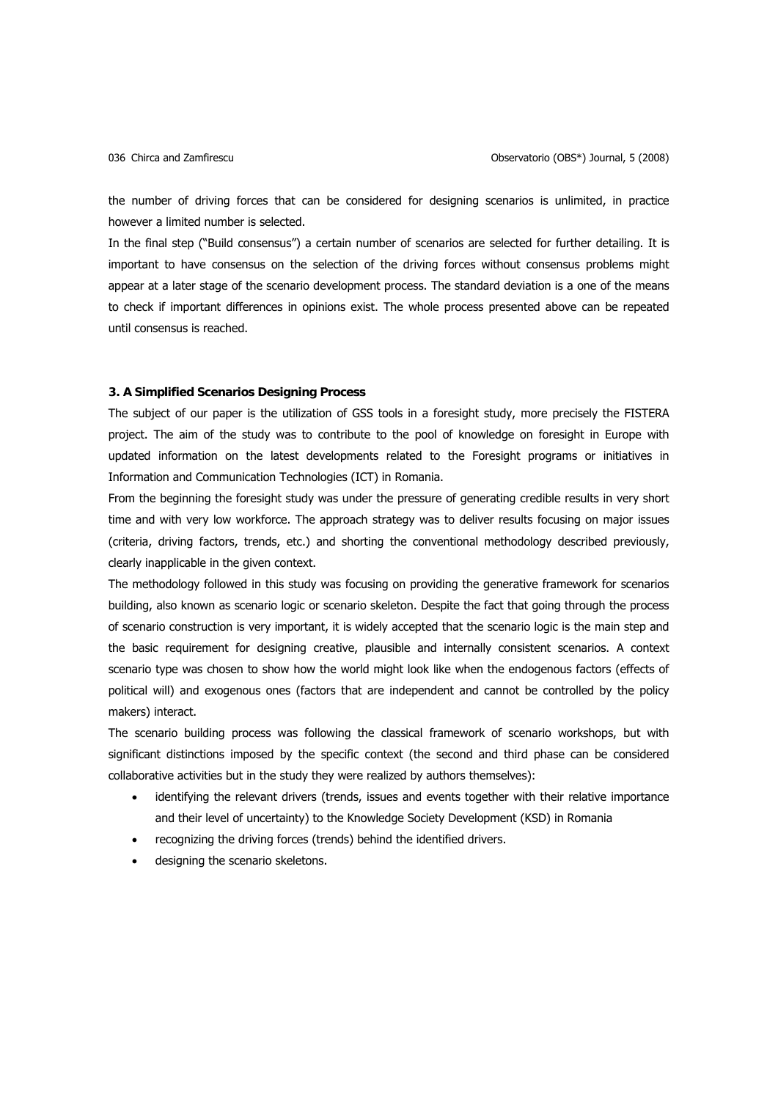the number of driving forces that can be considered for designing scenarios is unlimited, in practice however a limited number is selected.

In the final step ("Build consensus") a certain number of scenarios are selected for further detailing. It is important to have consensus on the selection of the driving forces without consensus problems might appear at a later stage of the scenario development process. The standard deviation is a one of the means to check if important differences in opinions exist. The whole process presented above can be repeated until consensus is reached.

## **3. A Simplified Scenarios Designing Process**

The subject of our paper is the utilization of GSS tools in a foresight study, more precisely the FISTERA project. The aim of the study was to contribute to the pool of knowledge on foresight in Europe with updated information on the latest developments related to the Foresight programs or initiatives in Information and Communication Technologies (ICT) in Romania.

From the beginning the foresight study was under the pressure of generating credible results in very short time and with very low workforce. The approach strategy was to deliver results focusing on major issues (criteria, driving factors, trends, etc.) and shorting the conventional methodology described previously, clearly inapplicable in the given context.

The methodology followed in this study was focusing on providing the generative framework for scenarios building, also known as scenario logic or scenario skeleton. Despite the fact that going through the process of scenario construction is very important, it is widely accepted that the scenario logic is the main step and the basic requirement for designing creative, plausible and internally consistent scenarios. A context scenario type was chosen to show how the world might look like when the endogenous factors (effects of political will) and exogenous ones (factors that are independent and cannot be controlled by the policy makers) interact.

The scenario building process was following the classical framework of scenario workshops, but with significant distinctions imposed by the specific context (the second and third phase can be considered collaborative activities but in the study they were realized by authors themselves):

- identifying the relevant drivers (trends, issues and events together with their relative importance and their level of uncertainty) to the Knowledge Society Development (KSD) in Romania
- recognizing the driving forces (trends) behind the identified drivers.
- designing the scenario skeletons.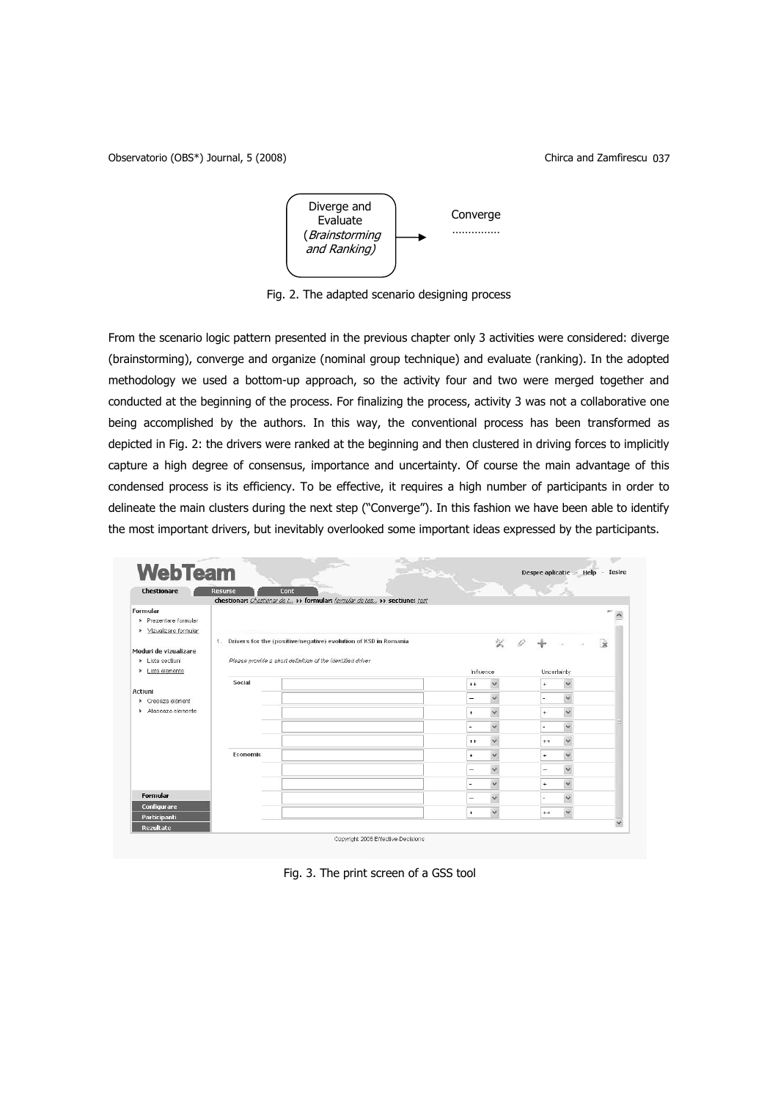Observatorio (OBS\*) Journal, 5 (2008) Chirca and Zamfirescu 037



Fig. 2. The adapted scenario designing process

From the scenario logic pattern presented in the previous chapter only 3 activities were considered: diverge (brainstorming), converge and organize (nominal group technique) and evaluate (ranking). In the adopted methodology we used a bottom-up approach, so the activity four and two were merged together and conducted at the beginning of the process. For finalizing the process, activity 3 was not a collaborative one being accomplished by the authors. In this way, the conventional process has been transformed as depicted in Fig. 2: the drivers were ranked at the beginning and then clustered in driving forces to implicitly capture a high degree of consensus, importance and uncertainty. Of course the main advantage of this condensed process is its efficiency. To be effective, it requires a high number of participants in order to delineate the main clusters during the next step ("Converge"). In this fashion we have been able to identify the most important drivers, but inevitably overlooked some important ideas expressed by the participants.

| <b>Chestionare</b>                    | <b>Resurse</b> | Cont                                                                           |                          |              |             |              |              |
|---------------------------------------|----------------|--------------------------------------------------------------------------------|--------------------------|--------------|-------------|--------------|--------------|
|                                       |                | chestionar: Chestionar de t., >> formular: formular de tes., >> sectiune: test |                          |              |             |              |              |
| Formular                              |                |                                                                                |                          |              |             |              |              |
| > Prezentare formular                 |                |                                                                                |                          |              |             |              |              |
| Vizualizare formular<br>$\rightarrow$ |                |                                                                                |                          |              |             |              |              |
|                                       |                | 1. Drivers for the (positive/negative) evolution of KSD in Romania             |                          | 娑            |             |              | R            |
| Moduri de vizualizare                 |                |                                                                                |                          |              |             |              |              |
| > Lista sectiuni                      |                | Please provide a short definition of the identified driver                     |                          |              |             |              |              |
| Lista elemente<br>٠                   |                |                                                                                | Influence                |              | Uncertainty |              |              |
|                                       | Social         |                                                                                | $++$                     | $\checkmark$ | $\ddot{}$   | $\checkmark$ |              |
| Actiuni<br>> Creeaza element          |                |                                                                                | -                        | $\checkmark$ |             | $\checkmark$ |              |
| > Ataseaza elemente                   |                |                                                                                |                          | $\checkmark$ |             | $\vee$       |              |
|                                       |                |                                                                                | $+$                      |              | $\ddot{}$   |              |              |
|                                       |                |                                                                                | $\overline{\phantom{a}}$ | $\checkmark$ |             | $\checkmark$ |              |
|                                       |                |                                                                                | $++$                     | $\checkmark$ | $++$        | $\checkmark$ |              |
|                                       | Economic       |                                                                                |                          | $\checkmark$ |             | $\checkmark$ |              |
|                                       |                |                                                                                | $\ddot{}$                |              | $\ddot{}$   |              |              |
|                                       |                |                                                                                | -                        | $\checkmark$ | -           | $\checkmark$ |              |
|                                       |                |                                                                                |                          | $\checkmark$ | ÷           | $\checkmark$ |              |
| Formular                              |                |                                                                                |                          |              |             | Ÿ            |              |
| Configurare                           |                |                                                                                | -                        | $\checkmark$ |             |              |              |
| Participanti                          |                |                                                                                | $\ddot{}$                | $\checkmark$ | $++$        | $\checkmark$ |              |
| Rezultate                             |                |                                                                                |                          |              |             |              | $\checkmark$ |

Fig. 3. The print screen of a GSS tool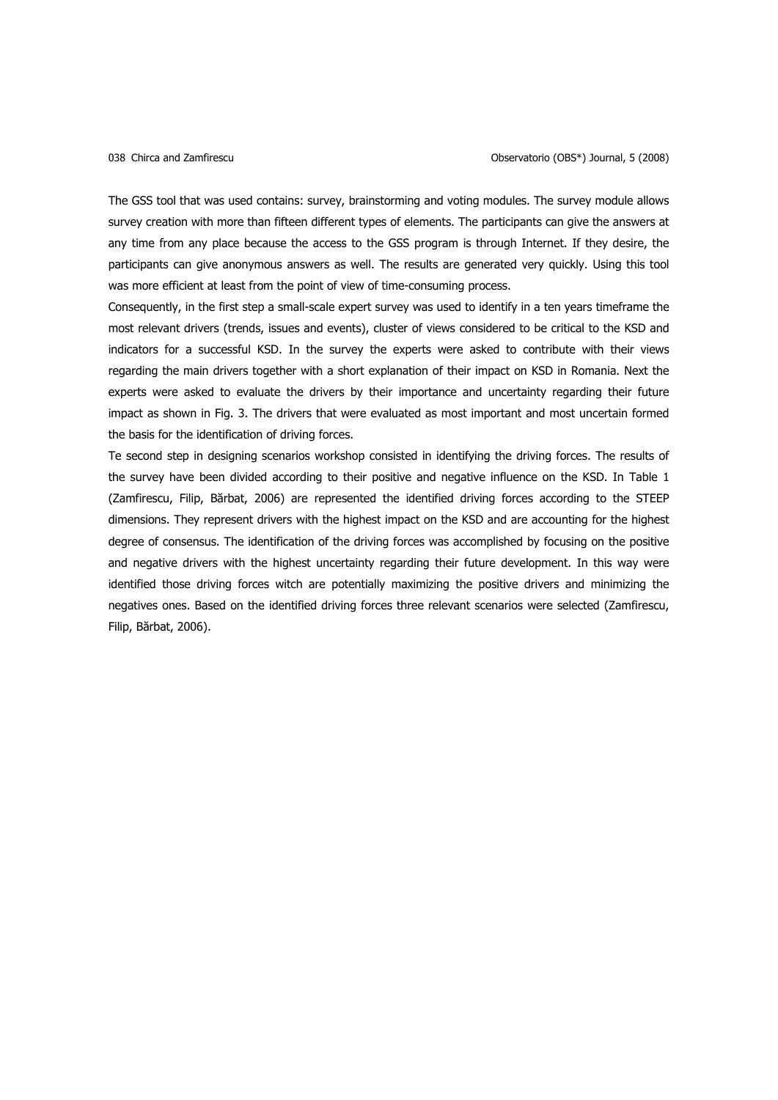The GSS tool that was used contains: survey, brainstorming and voting modules. The survey module allows survey creation with more than fifteen different types of elements. The participants can give the answers at any time from any place because the access to the GSS program is through Internet. If they desire, the participants can give anonymous answers as well. The results are generated very quickly. Using this tool was more efficient at least from the point of view of time-consuming process.

Consequently, in the first step a small-scale expert survey was used to identify in a ten years timeframe the most relevant drivers (trends, issues and events), cluster of views considered to be critical to the KSD and indicators for a successful KSD. In the survey the experts were asked to contribute with their views regarding the main drivers together with a short explanation of their impact on KSD in Romania. Next the experts were asked to evaluate the drivers by their importance and uncertainty regarding their future impact as shown in Fig. 3. The drivers that were evaluated as most important and most uncertain formed the basis for the identification of driving forces.

Te second step in designing scenarios workshop consisted in identifying the driving forces. The results of the survey have been divided according to their positive and negative influence on the KSD. In Table 1 (Zamfirescu, Filip, Bărbat, 2006) are represented the identified driving forces according to the STEEP dimensions. They represent drivers with the highest impact on the KSD and are accounting for the highest degree of consensus. The identification of the driving forces was accomplished by focusing on the positive and negative drivers with the highest uncertainty regarding their future development. In this way were identified those driving forces witch are potentially maximizing the positive drivers and minimizing the negatives ones. Based on the identified driving forces three relevant scenarios were selected (Zamfirescu, Filip, Bărbat, 2006).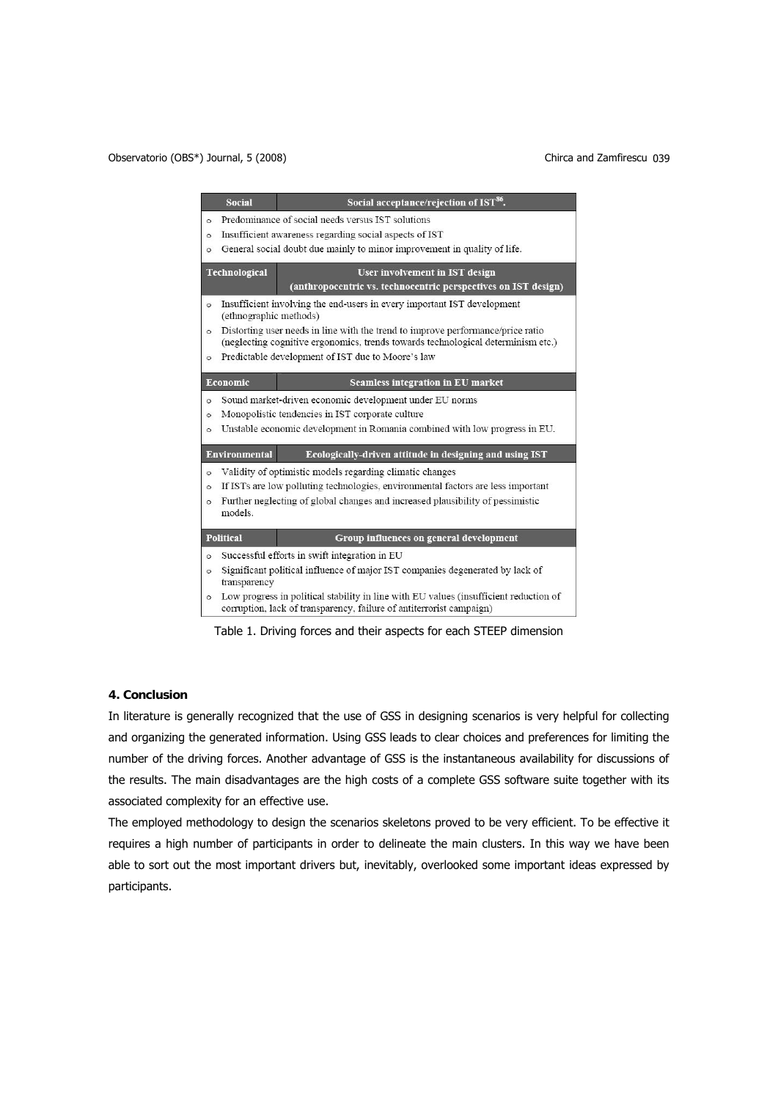|         | <b>Social</b>                                                                                                                                                       | Social acceptance/rejection of IST <sup>86</sup> .                               |  |  |  |  |
|---------|---------------------------------------------------------------------------------------------------------------------------------------------------------------------|----------------------------------------------------------------------------------|--|--|--|--|
| $\circ$ | Predominance of social needs versus IST solutions                                                                                                                   |                                                                                  |  |  |  |  |
| $\circ$ | Insufficient awareness regarding social aspects of IST                                                                                                              |                                                                                  |  |  |  |  |
| $\circ$ | General social doubt due mainly to minor improvement in quality of life.                                                                                            |                                                                                  |  |  |  |  |
|         | <b>Technological</b>                                                                                                                                                | User involvement in IST design                                                   |  |  |  |  |
|         |                                                                                                                                                                     | (anthropocentric vs. technocentric perspectives on IST design)                   |  |  |  |  |
| $\circ$ | (ethnographic methods)                                                                                                                                              | Insufficient involving the end-users in every important IST development          |  |  |  |  |
| $\circ$ | Distorting user needs in line with the trend to improve performance/price ratio<br>(neglecting cognitive ergonomics, trends towards technological determinism etc.) |                                                                                  |  |  |  |  |
| $\circ$ | Predictable development of IST due to Moore's law                                                                                                                   |                                                                                  |  |  |  |  |
|         | Economic                                                                                                                                                            | Seamless integration in EU market                                                |  |  |  |  |
| $\circ$ | Sound market-driven economic development under EU norms                                                                                                             |                                                                                  |  |  |  |  |
| $\circ$ | Monopolistic tendencies in IST corporate culture                                                                                                                    |                                                                                  |  |  |  |  |
| $\circ$ |                                                                                                                                                                     | Unstable economic development in Romania combined with low progress in EU.       |  |  |  |  |
|         | Environmental                                                                                                                                                       | Ecologically-driven attitude in designing and using IST                          |  |  |  |  |
| $\circ$ |                                                                                                                                                                     | Validity of optimistic models regarding climatic changes                         |  |  |  |  |
| $\circ$ |                                                                                                                                                                     | If ISTs are low polluting technologies, environmental factors are less important |  |  |  |  |
| $\circ$ | models.                                                                                                                                                             | Further neglecting of global changes and increased plausibility of pessimistic   |  |  |  |  |
|         | <b>Political</b>                                                                                                                                                    | Group influences on general development                                          |  |  |  |  |
| $\circ$ |                                                                                                                                                                     | Successful efforts in swift integration in EU                                    |  |  |  |  |
| $\circ$ | Significant political influence of major IST companies degenerated by lack of<br>transparency                                                                       |                                                                                  |  |  |  |  |
| $\circ$ | Low progress in political stability in line with EU values (insufficient reduction of<br>corruption, lack of transparency, failure of antiterrorist campaign)       |                                                                                  |  |  |  |  |

Table 1. Driving forces and their aspects for each STEEP dimension

# **4. Conclusion**

In literature is generally recognized that the use of GSS in designing scenarios is very helpful for collecting and organizing the generated information. Using GSS leads to clear choices and preferences for limiting the number of the driving forces. Another advantage of GSS is the instantaneous availability for discussions of the results. The main disadvantages are the high costs of a complete GSS software suite together with its associated complexity for an effective use.

The employed methodology to design the scenarios skeletons proved to be very efficient. To be effective it requires a high number of participants in order to delineate the main clusters. In this way we have been able to sort out the most important drivers but, inevitably, overlooked some important ideas expressed by participants.